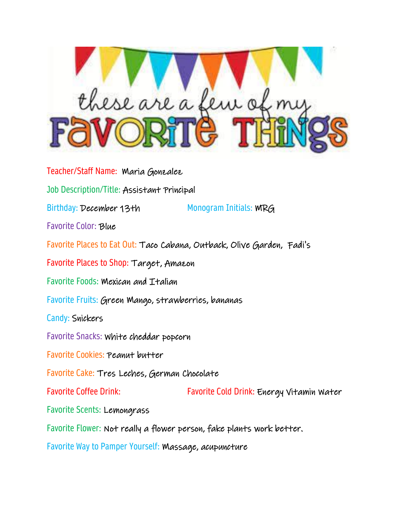

Teacher/Staff Name: Maria Gonzalez Job Description/Title: Assistant Principal Birthday: December 13th Monogram Initials: WRG Favorite Color: Blue Favorite Places to Eat Out: Taco Cabana, Outback, Olive Garden, Fadi's Favorite Places to Shop: Target, Amazon Favorite Foods: Mexican and Italian Favorite Fruits: Green Mango, strawberries, bananas Candy: Snickers Favorite Snacks: White cheddar popcorn Favorite Cookies: Peanut butter Favorite Cake: Tres Leches, German Chocolate Favorite Coffee Drink: Favorite Cold Drink: Energy Vitamin Water Favorite Scents: Lemongrass Favorite Flower: Not really a flower person, fake plants work better. Favorite Way to Pamper Yourself: Massage, acupuncture